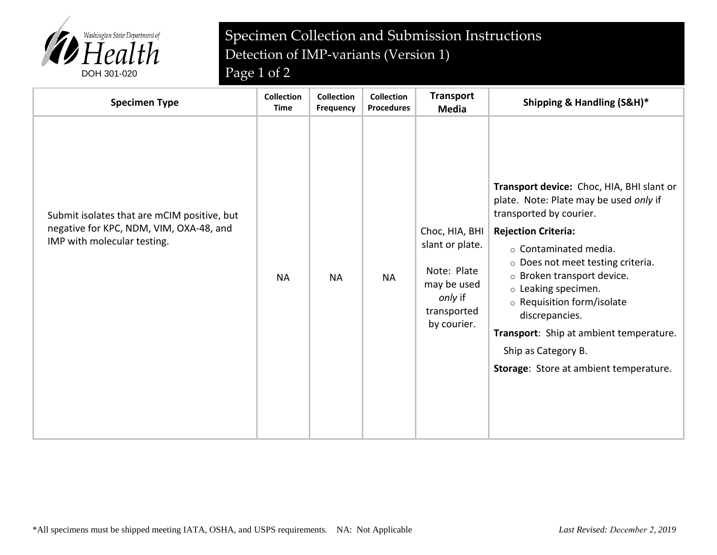

## Specimen Collection and Submission Instructions Detection of IMP-variants (Version 1)

| <b>Specimen Type</b>                                                                                                  | <b>Collection</b><br><b>Time</b> | <b>Collection</b><br>Frequency | <b>Collection</b><br><b>Procedures</b> | <b>Transport</b><br><b>Media</b>                                                                         | Shipping & Handling (S&H)*                                                                                                                                                                                                                                                                                                                                                                                                              |
|-----------------------------------------------------------------------------------------------------------------------|----------------------------------|--------------------------------|----------------------------------------|----------------------------------------------------------------------------------------------------------|-----------------------------------------------------------------------------------------------------------------------------------------------------------------------------------------------------------------------------------------------------------------------------------------------------------------------------------------------------------------------------------------------------------------------------------------|
| Submit isolates that are mCIM positive, but<br>negative for KPC, NDM, VIM, OXA-48, and<br>IMP with molecular testing. | <b>NA</b>                        | <b>NA</b>                      | <b>NA</b>                              | Choc, HIA, BHI<br>slant or plate.<br>Note: Plate<br>may be used<br>only if<br>transported<br>by courier. | Transport device: Choc, HIA, BHI slant or<br>plate. Note: Plate may be used only if<br>transported by courier.<br><b>Rejection Criteria:</b><br>$\circ$ Contaminated media.<br>o Does not meet testing criteria.<br>o Broken transport device.<br>$\circ$ Leaking specimen.<br>o Requisition form/isolate<br>discrepancies.<br>Transport: Ship at ambient temperature.<br>Ship as Category B.<br>Storage: Store at ambient temperature. |